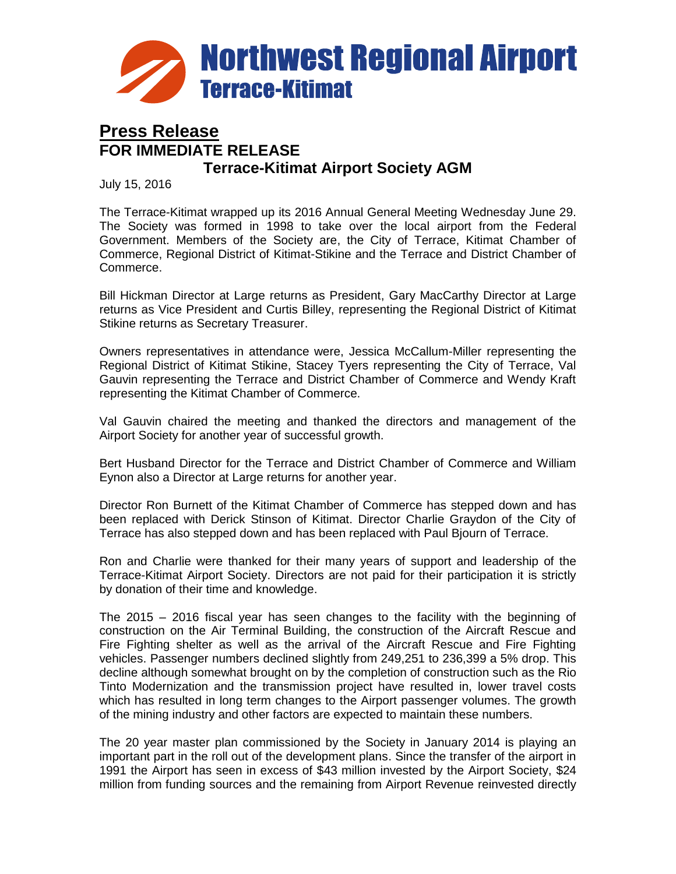

## **Press Release FOR IMMEDIATE RELEASE Terrace-Kitimat Airport Society AGM**

July 15, 2016

The Terrace-Kitimat wrapped up its 2016 Annual General Meeting Wednesday June 29. The Society was formed in 1998 to take over the local airport from the Federal Government. Members of the Society are, the City of Terrace, Kitimat Chamber of Commerce, Regional District of Kitimat-Stikine and the Terrace and District Chamber of Commerce.

Bill Hickman Director at Large returns as President, Gary MacCarthy Director at Large returns as Vice President and Curtis Billey, representing the Regional District of Kitimat Stikine returns as Secretary Treasurer.

Owners representatives in attendance were, Jessica McCallum-Miller representing the Regional District of Kitimat Stikine, Stacey Tyers representing the City of Terrace, Val Gauvin representing the Terrace and District Chamber of Commerce and Wendy Kraft representing the Kitimat Chamber of Commerce.

Val Gauvin chaired the meeting and thanked the directors and management of the Airport Society for another year of successful growth.

Bert Husband Director for the Terrace and District Chamber of Commerce and William Eynon also a Director at Large returns for another year.

Director Ron Burnett of the Kitimat Chamber of Commerce has stepped down and has been replaced with Derick Stinson of Kitimat. Director Charlie Graydon of the City of Terrace has also stepped down and has been replaced with Paul Bjourn of Terrace.

Ron and Charlie were thanked for their many years of support and leadership of the Terrace-Kitimat Airport Society. Directors are not paid for their participation it is strictly by donation of their time and knowledge.

The 2015 – 2016 fiscal year has seen changes to the facility with the beginning of construction on the Air Terminal Building, the construction of the Aircraft Rescue and Fire Fighting shelter as well as the arrival of the Aircraft Rescue and Fire Fighting vehicles. Passenger numbers declined slightly from 249,251 to 236,399 a 5% drop. This decline although somewhat brought on by the completion of construction such as the Rio Tinto Modernization and the transmission project have resulted in, lower travel costs which has resulted in long term changes to the Airport passenger volumes. The growth of the mining industry and other factors are expected to maintain these numbers.

The 20 year master plan commissioned by the Society in January 2014 is playing an important part in the roll out of the development plans. Since the transfer of the airport in 1991 the Airport has seen in excess of \$43 million invested by the Airport Society, \$24 million from funding sources and the remaining from Airport Revenue reinvested directly